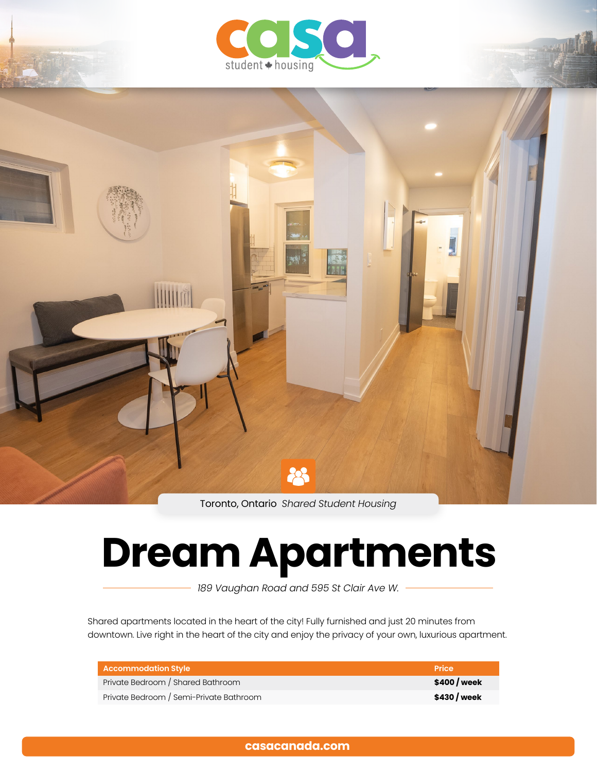



Toronto, Ontario *Shared Student Housing*

# **Dream Apartments**

*189 Vaughan Road and 595 St Clair Ave W.*

Shared apartments located in the heart of the city! Fully furnished and just 20 minutes from downtown. Live right in the heart of the city and enjoy the privacy of your own, luxurious apartment.

| <b>Accommodation Style</b>              | Price        |
|-----------------------------------------|--------------|
| Private Bedroom / Shared Bathroom       | \$400 / week |
| Private Bedroom / Semi-Private Bathroom | \$430 / week |